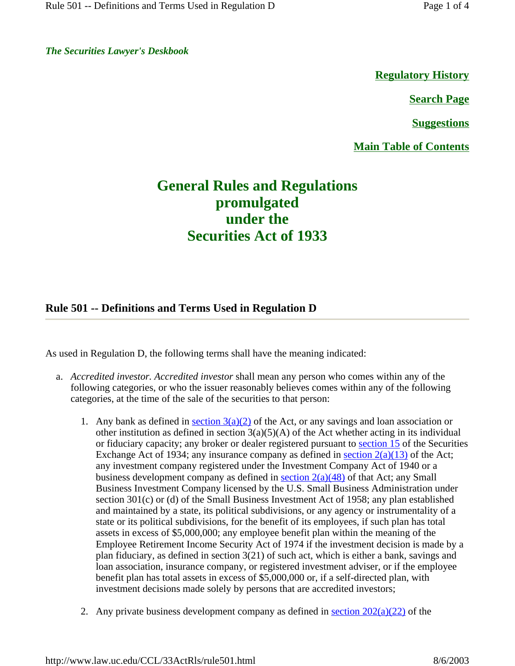*The Securities Lawyer's Deskbook*

## **Regulatory History**

**Search Page**

**Suggestions**

**Main Table of Contents**

## **General Rules and Regulations promulgated under the Securities Act of 1933**

## **Rule 501 -- Definitions and Terms Used in Regulation D**

As used in Regulation D, the following terms shall have the meaning indicated:

- a. *Accredited investor. Accredited investor* shall mean any person who comes within any of the following categories, or who the issuer reasonably believes comes within any of the following categories, at the time of the sale of the securities to that person:
	- 1. Any bank as defined in section  $3(a)(2)$  of the Act, or any savings and loan association or other institution as defined in section  $3(a)(5)(A)$  of the Act whether acting in its individual or fiduciary capacity; any broker or dealer registered pursuant to section 15 of the Securities Exchange Act of 1934; any insurance company as defined in section  $2(a)(13)$  of the Act; any investment company registered under the Investment Company Act of 1940 or a business development company as defined in section  $2(a)(48)$  of that Act; any Small Business Investment Company licensed by the U.S. Small Business Administration under section 301(c) or (d) of the Small Business Investment Act of 1958; any plan established and maintained by a state, its political subdivisions, or any agency or instrumentality of a state or its political subdivisions, for the benefit of its employees, if such plan has total assets in excess of \$5,000,000; any employee benefit plan within the meaning of the Employee Retirement Income Security Act of 1974 if the investment decision is made by a plan fiduciary, as defined in section 3(21) of such act, which is either a bank, savings and loan association, insurance company, or registered investment adviser, or if the employee benefit plan has total assets in excess of \$5,000,000 or, if a self-directed plan, with investment decisions made solely by persons that are accredited investors;
	- 2. Any private business development company as defined in section  $202(a)(22)$  of the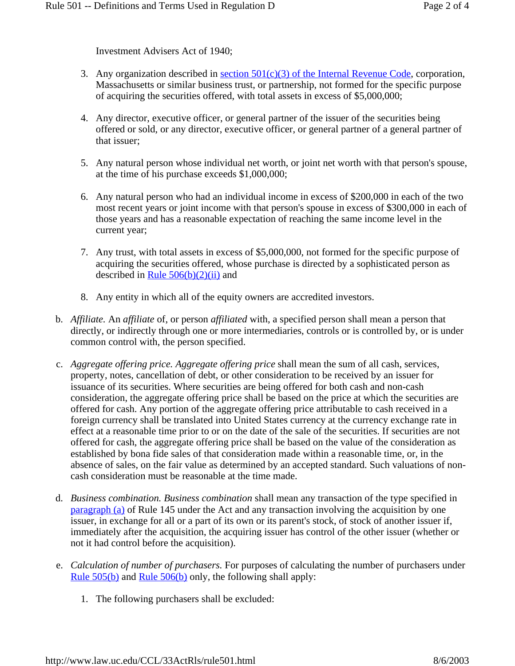Investment Advisers Act of 1940;

- 3. Any organization described in section  $501(c)(3)$  of the Internal Revenue Code, corporation, Massachusetts or similar business trust, or partnership, not formed for the specific purpose of acquiring the securities offered, with total assets in excess of \$5,000,000;
- 4. Any director, executive officer, or general partner of the issuer of the securities being offered or sold, or any director, executive officer, or general partner of a general partner of that issuer;
- 5. Any natural person whose individual net worth, or joint net worth with that person's spouse, at the time of his purchase exceeds \$1,000,000;
- 6. Any natural person who had an individual income in excess of \$200,000 in each of the two most recent years or joint income with that person's spouse in excess of \$300,000 in each of those years and has a reasonable expectation of reaching the same income level in the current year;
- 7. Any trust, with total assets in excess of \$5,000,000, not formed for the specific purpose of acquiring the securities offered, whose purchase is directed by a sophisticated person as described in Rule  $506(b)(2)(ii)$  and
- 8. Any entity in which all of the equity owners are accredited investors.
- b. *Affiliate.* An *affiliate* of, or person *affiliated* with, a specified person shall mean a person that directly, or indirectly through one or more intermediaries, controls or is controlled by, or is under common control with, the person specified.
- c. *Aggregate offering price. Aggregate offering price* shall mean the sum of all cash, services, property, notes, cancellation of debt, or other consideration to be received by an issuer for issuance of its securities. Where securities are being offered for both cash and non-cash consideration, the aggregate offering price shall be based on the price at which the securities are offered for cash. Any portion of the aggregate offering price attributable to cash received in a foreign currency shall be translated into United States currency at the currency exchange rate in effect at a reasonable time prior to or on the date of the sale of the securities. If securities are not offered for cash, the aggregate offering price shall be based on the value of the consideration as established by bona fide sales of that consideration made within a reasonable time, or, in the absence of sales, on the fair value as determined by an accepted standard. Such valuations of noncash consideration must be reasonable at the time made.
- d. *Business combination. Business combination* shall mean any transaction of the type specified in paragraph (a) of Rule 145 under the Act and any transaction involving the acquisition by one issuer, in exchange for all or a part of its own or its parent's stock, of stock of another issuer if, immediately after the acquisition, the acquiring issuer has control of the other issuer (whether or not it had control before the acquisition).
- e. *Calculation of number of purchasers.* For purposes of calculating the number of purchasers under Rule 505(b) and Rule 506(b) only, the following shall apply:
	- 1. The following purchasers shall be excluded: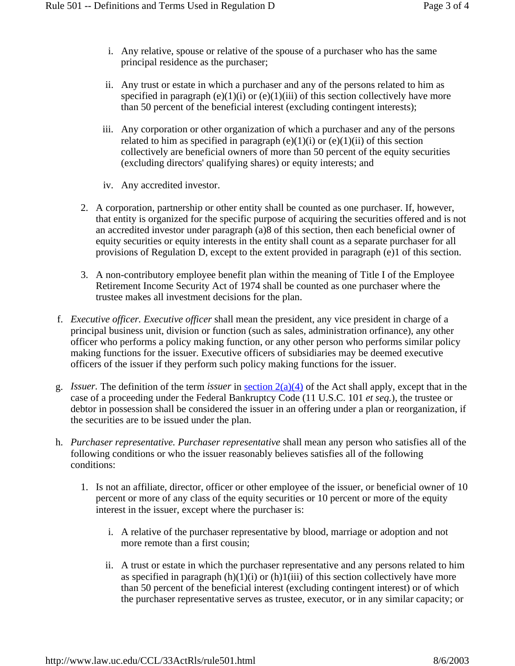- i. Any relative, spouse or relative of the spouse of a purchaser who has the same principal residence as the purchaser;
- ii. Any trust or estate in which a purchaser and any of the persons related to him as specified in paragraph  $(e)(1)(i)$  or  $(e)(1)(iii)$  of this section collectively have more than 50 percent of the beneficial interest (excluding contingent interests);
- iii. Any corporation or other organization of which a purchaser and any of the persons related to him as specified in paragraph  $(e)(1)(i)$  or  $(e)(1)(ii)$  of this section collectively are beneficial owners of more than 50 percent of the equity securities (excluding directors' qualifying shares) or equity interests; and
- iv. Any accredited investor.
- 2. A corporation, partnership or other entity shall be counted as one purchaser. If, however, that entity is organized for the specific purpose of acquiring the securities offered and is not an accredited investor under paragraph (a)8 of this section, then each beneficial owner of equity securities or equity interests in the entity shall count as a separate purchaser for all provisions of Regulation D, except to the extent provided in paragraph (e)1 of this section.
- 3. A non-contributory employee benefit plan within the meaning of Title I of the Employee Retirement Income Security Act of 1974 shall be counted as one purchaser where the trustee makes all investment decisions for the plan.
- f. *Executive officer. Executive officer* shall mean the president, any vice president in charge of a principal business unit, division or function (such as sales, administration orfinance), any other officer who performs a policy making function, or any other person who performs similar policy making functions for the issuer. Executive officers of subsidiaries may be deemed executive officers of the issuer if they perform such policy making functions for the issuer.
- g. *Issuer.* The definition of the term *issuer* in section 2(a)(4) of the Act shall apply, except that in the case of a proceeding under the Federal Bankruptcy Code (11 U.S.C. 101 *et seq.*), the trustee or debtor in possession shall be considered the issuer in an offering under a plan or reorganization, if the securities are to be issued under the plan.
- h. *Purchaser representative. Purchaser representative* shall mean any person who satisfies all of the following conditions or who the issuer reasonably believes satisfies all of the following conditions:
	- 1. Is not an affiliate, director, officer or other employee of the issuer, or beneficial owner of 10 percent or more of any class of the equity securities or 10 percent or more of the equity interest in the issuer, except where the purchaser is:
		- i. A relative of the purchaser representative by blood, marriage or adoption and not more remote than a first cousin;
		- ii. A trust or estate in which the purchaser representative and any persons related to him as specified in paragraph  $(h)(1)(i)$  or  $(h)1(i)$  of this section collectively have more than 50 percent of the beneficial interest (excluding contingent interest) or of which the purchaser representative serves as trustee, executor, or in any similar capacity; or